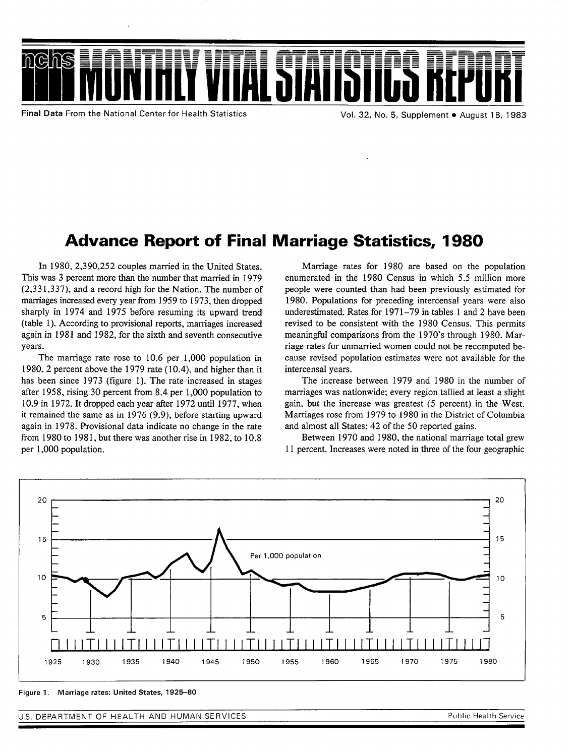

**Final Data From the National Center for Health Statistics** 

Vol. 32, No. 5, Supplement . August 18, 1983

# Advance Report of Final Marriage Statistics, 1980

In 1980, 2,390,252 couples married in the United States. This was 3 percent more than the number that married in 1979 (2,33 1,337), and a record high for the Nation. The number of marriages increased every year from 1959 to 1973, then dropped sharply in 1974 and 1975 before resuming its upward trend (table 1). According to provisional reports, marriages increased again in 1981 and 1982, for the sixth and seventh consecutive years.

The marriage rate rose to 10.6 per 1,000 population in 1980, 2 percent above the 1979 rate ( 10.4), and higher than it has been since 1973 (figure 1). The rate increased in stages after 1958. rising 30 percent from 8.4 per 1,000 population to 10.9 in 1972. It dropped each year after 1972 until 1977, when it remained the same as in 1976 (9.9), before starting upward again in 1978. Provisional data indicate no change in the rate from 1980 to 1981, but there was another rise in 1982, to 10.8 per 1,000 population.

Marriage rates for 1980 are based on the population enumerated in the 1980 Census in which 5.5 million more people were counted than had been previously estimated for 1980. Populations for preceding intercensal years were also underestimated. Rates for 1971 –79 in tables 1 and 2 have been revised to be consistent with the 1980 Census. This permits meaningful comparisons from the 1970"s through 1980. Marriage rates for unmarried women could not be recomputed because revised population estimates were not available for the intercensal years.

The increase between 1979 and 1980 in the number of marriages was nationwide; every region tallied at least a slight gain, but the increase was greatest (5 percent) in the West. Marriages rose from 1979 to 1980 in the District of Columbia and almost all States: 42 of the 50 reported gains.

Between 1970 and 1980, the national marriage total grew 11 percent. Increases were noted in three of the four geographic



**Figure 1, Marriage rates: United States, 1925-80** 

U.S. DEPARTMENT OF HEALTH AND HUMAN SERVICES **And Account of the Contract Of Contract And Account of the U.S. DEPARTMENT OF HEALTH AND HUMAN SERVICES**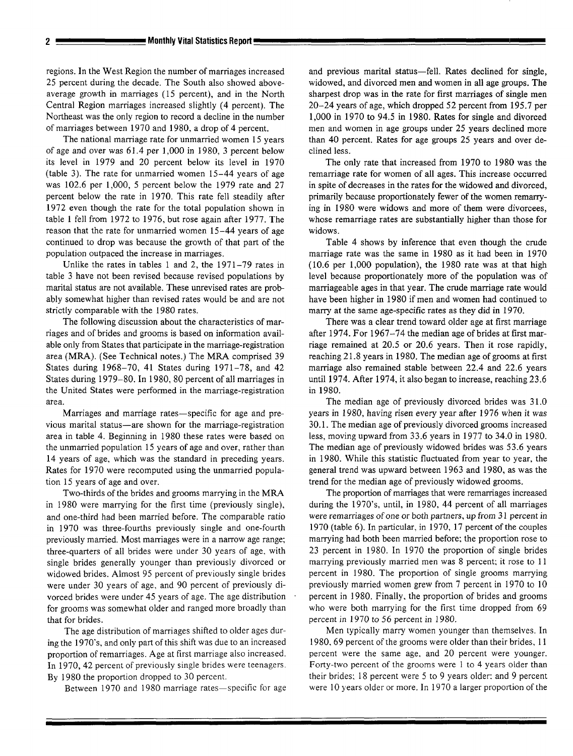regions. In the West Region the number of marriages increased 25 percent during the decade. The South also showed aboveaverage growth in marriages (15 percent), and in the North Central Region marriages increased slightly (4 percent). The Northeast was the only region to record a decline in the number of marriages between 1970 and 1980, a drop of 4 percent.

The national marriage rate for unmarried women 15 years of age and over was 61.4 per 1,000 in 1980, 3 percent below its level in 1979 and 20 percent below its level in 1970 (table 3). The rate for unmarried women 15-44 years of age was 102.6 per 1,000, 5 percent below the 1979 rate and 27 percent below the rate in 1970. This rate fell steadily after 1972 even though the rate for the total population shown in table 1 fell from 1972 to 1976, but rose again after 1977. The reason that the rate for unmarried women 15–44 years of age continued to drop was because the growth of that part of the population outpaced the increase in marriages.

Unlike the rates in tables 1 and 2, the 1971–79 rates in table 3 have not been revised because revised populations by marital status are not available. These unrevised rates are probably somewhat higher than revised rates would be and are not strictly comparable with the 1980 rates.

The following discussion about the characteristics of marriages and of brides and grooms is based on information available only from States that participate in the marnage-registration area (MR4). (See Technical notes.) The MRA comprised 39 States during 1968-70, 41 States during 1971-78, and 42 States during 1979–80. In 1980, 80 percent of all marriages in the United States were performed in the marriage-registration area.

Marriages and marriage rates—specific for age and previous marital status—are shown for the marriage-registration area in table 4. Beginning in 1980 these rates were based on the unmarried population 15 years of age and over, rather than 14 years of age, which was the standard in preceding years. Rates for 1970 were recomputed using the unmarried population 15 years of age and over.

Two-thirds of the brides and grooms marrying in the MRA in 1980 were marrying for the first time (previously single), and one-third had been married before. The comparable ratio in 1970 was three-fourths previously single and one-fourth previously married. Most mamiages were in a narrow age range; three-quarters of all brides were under 30 years of age, with single brides generally younger than previously divorced or widowed brides. Almost 95 percent of previously single brides were under 30 years of age, and 90 percent of previously divorced brides were under 45 years of age. The age distribution for grooms was somewhat older and ranged more broadly than that for brides.

The age distribution of marriages shifted to older ages during the 1970's, and only part of this shift was due to an increased proportion of remarriages. Age at first marriage also increased. In 1970, 42 percent of previously single brides were teenagers. By 1980 the proportion dropped to 30 percent.

Between 1970 and 1980 marriage rates—specific for age

and previous marital status—fell. Rates declined for single, widowed, and divorced men and women in all age groups. The sharpest drop was in the rate for first marriages of single men 20-24 years of age, which dropped 52 percent from 195.7 per 1,000 in 1970 to 94.5 in 1980. Rates for single ancl divorced men and women in age groups under 25 years declined more than 40 percent. Rates for age groups 25 years and over declined less.

The only rate that increased from 1970 to 1980 was the remarriage rate for women of all ages. This increase occurred in spite of decreases in the rates for the widowed and divorced, primarily because proportionately fewer of the women remarrying in 1980 were widows and more of them were divorcees, whose remarriage rates are substantially higher than those for widows.

Table 4 shows by inference that even though the crude marriage rate was the same in 1980 as it had been in 1970 (10.6 per 1,000 population), the 1980 rate was at that high level because proportionately more of the population was of marriageable ages in that year. The crude marriage rate would have been higher in 1980 if men and women had continued to marry at the same age-specific rates as they did in 1970.

There was a clear trend toward older age at first marriage after 1974. For 1967–74 the median age of brides at first marriage remained at 20.5 or 20.6 years. Then it rose rapidly, reaching 21.8 years in 1980. The median age of grooms at first marriage also remained stable between 22.4 and 22.6 years until 1974. After 1974, it also began to increase, reaching 23.6 in 1980.

The median age of previously divorced brides was 31.0 years in 1580, having risen every year after 1976 when it was 30.1. The median age of previously divorced grooms increased less, moving upward from 33.6 years in 1977 to 34.0 in 1980. The median age of previously widowed brides was 53.6 years in 1980. While this statistic fluctuated from year to year, the general trend was upward between 1963 and 1980, as was the trend for the median age of previously widowed grooms.

The proportion of marriages that were remarriages increased during the 1970's, until, in 1980, 44 percent of all marriages were remarriages of one or both partners, up from 31 percent in 1970 (table 6). In particular, in 1970, 17 percent of the couples marrying had both been married before; the proportion rose to 23 percent in 1980. In 1970 the proportion of single brides marrying previously married men was 8 percent; it rose to 11 percent in 1980. The proportion of single grooms marrying previously married women grew from 7 percent in 1970 to 10 percent in 1980. Finally, the proportion of brides and grooms who were both marrying for the first time dropped from 69 percent in 1970 to 56 percent in 1980.

Men typically marry women younger than themselves. In 1980, 69 percent of the grooms were older than their brides, 11 percent were the same age, and 20 percent were younger. Forty-two percent of the grooms were 1 to 4 years older than their brides; 18 percent were 5 to 9 years older: and 9 percent were 10 years older or more. In 1970 a larger proportion of the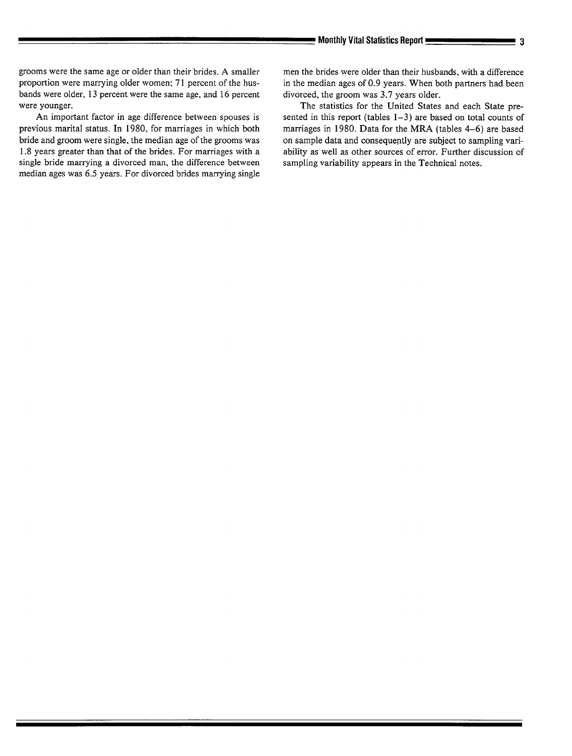grooms were the same age or older than their brides. A smaller proportion were marrying older women: 71 percent of the husbands were older, 13 percent were the same age, and 16 percent were younger.

An important factor in age difference between spouses is previous marital status. In 1980, for marriages in which both bride and groom were single, the median age of the grooms was 1.8 years greater than that of the brides. For marriages with a single bride marrying a divorced man, the difference between median ages was 6.5 years. For divorced brides marrying single men the brides were older than their husbands, with a difference in the median ages of 0.9 years. When both partners had been divorced, the groom was 3.7 years older.

The statistics for the United States and each State presented in this report (tables 1–3) are based on total counts of marriages in 1980. Data for the MRA (tables 4–6) are based on sample data and consequently are subject to sampling variability as well as other sources of error. Further discussion of sampling variability appears in the Technical notes.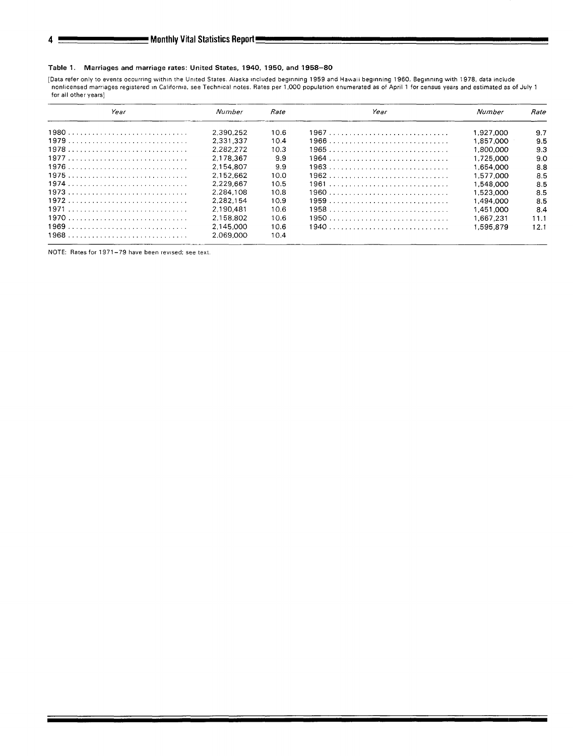#### Table 1. Marriages and marriage rates: United States, 1940, 1950, and 1958–80

[Data refer only to events occurring within the United States. Alaska included beginning 1959 and Hawaii beginning 1960. Beginning with 1978, data includi nonlicensed marriages registered in California, see Technical notes. Rates per 1,000 population enumerated as of April 1 for census years and estimated as of July 1 **for all other years]** 

| Year | Numher    | Rate              | Year | Number    | Rate |
|------|-----------|-------------------|------|-----------|------|
|      | 2.390.252 | 10.6              |      | 1.927.000 | 9.7  |
|      | 2.331.337 | 10.4              |      | 1.857.000 | 9.5  |
|      | 2.282.272 | 10.3              |      | 1.800.000 | 9.3  |
|      | 2.178.367 | 99                |      | 1.725.000 | 9.0  |
|      | 2.154.807 | 9.9               |      | 1.654.000 | 8.8  |
|      | 2.152.662 | 10.0              |      | 1.577.000 | 8.5  |
|      | 2.229.667 | 10.5              |      | 1.548.000 | 8.5  |
|      | 2.284.108 | 10.8              |      | 1.523.000 | 8.5  |
| 1972 | 2.282.154 | 10.9 <sup>°</sup> |      | 1.494.000 | 8.5  |
|      | 2.190.481 | 10.6              |      | 1.451.000 | 8.4  |
|      | 2.158.802 | 10.6              |      | 1.667.231 | 11.1 |
|      | 2.145.000 | 10.6              |      | 1.595.879 | 12.1 |
|      | 2.069.000 | 10.4              |      |           |      |

**NOTE:** Rates for 1971-79 have been revised; see text.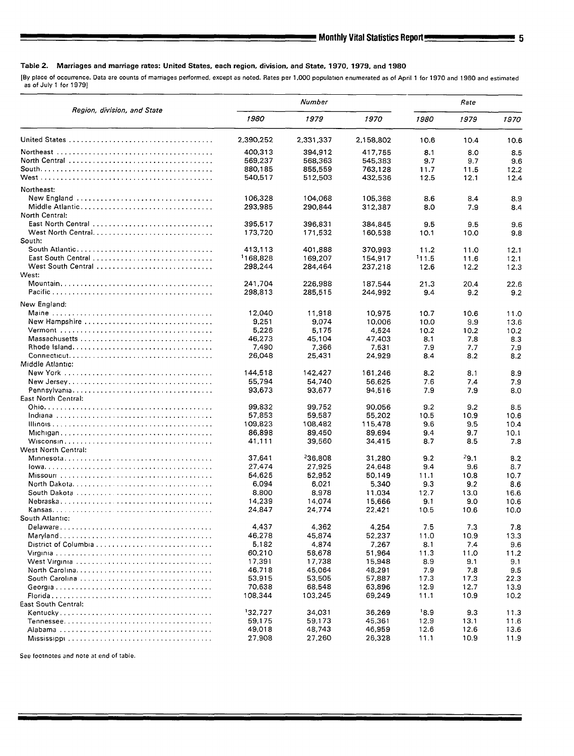[By place of **occurrence. Data are counts of marriages performed, except aa noted. Rates per 1,000 population enumerated aa of April 1 for 1970 and 19B0 and estimated as of** July 1 for 1979]

|                                                                                             |                    | Number             | Rate               |               |              |              |
|---------------------------------------------------------------------------------------------|--------------------|--------------------|--------------------|---------------|--------------|--------------|
| Region, division, and State                                                                 | 1980               | 1979               | 1970               | 1980          | 1979         | 1970         |
|                                                                                             | 2,390.252          | 2,331,337          | 2.158,802          | 10.6          | 10.4         | 10.6         |
|                                                                                             | 400,313<br>569,237 | 394,912<br>568,363 | 417,755<br>545,383 | 8.1<br>9.7    | 8.0<br>9.7   | 8.5<br>9.6   |
|                                                                                             | 880,185            | 855.559            | 763,128            | 11.7          | 11.5         | 12.2         |
|                                                                                             | 540,517            | 512,503            | 432,536            | 12.5          | 12.1         | 12.4         |
| Northeast:                                                                                  |                    |                    |                    |               |              |              |
| New England                                                                                 | 106,328            | 104,068            | 105.368            | 8.6           | 8.4          | 8.9          |
| Middle Atlantic                                                                             | 293.985            | 290.844            | 312,387            | 8.0           | 7.9          | 8.4          |
| North Central:                                                                              |                    |                    |                    |               |              |              |
| East North Central                                                                          | 395,517            | 396,831            | 384,845            | 9.5           | 9.5          | 9.6          |
|                                                                                             | 173,720            | 171,532            | 160,538            | 10.1          | 10.0         | 9.8          |
| South:<br>South Atlantic                                                                    | 413,113            |                    |                    |               |              |              |
| East South Central                                                                          | 1168,828           | 401.888            | 370,993            | 11.2          | 11.0         | 12.1         |
| West South Central                                                                          | 298,244            | 169,207<br>284,464 | 154,917<br>237,218 | 111.5<br>12.6 | 11.6<br>12.2 | 12.1<br>12.3 |
| West:                                                                                       |                    |                    |                    |               |              |              |
|                                                                                             | 241,704            | 226,988            | 187.544            | 21.3          | 20.4         | 22.6         |
|                                                                                             | 298,813            | 285,515            | 244,992            | 9.4           | 9.2          | 9.2          |
| New England:                                                                                |                    |                    |                    |               |              |              |
|                                                                                             | 12,040             | 11,918             | 10.975             | 10.7          | 10.6         | 11.0         |
| New Hampshire                                                                               | 9,251              | 9,074              | 10.006             | 10.0          | 9.9          | 13.6         |
|                                                                                             | 5,226              | 5,175              | 4,524              | 10.2          | 10.2         | 10.2         |
|                                                                                             | 46,273             | 45,104             | 47,403             | 8.1           | 7.8          | 8.3          |
|                                                                                             | 7,490              | 7,366              | 7,531              | 7.9           | 7.7          | 7.9          |
| $Connecticut. \ldots \ldots \ldots \ldots \ldots \ldots \ldots \ldots \ldots \ldots \ldots$ | 26,048             | 25,431             | 24,929             | 8.4           | 8.2          | 8.2          |
| Middle Atlantic:                                                                            |                    |                    |                    |               |              |              |
|                                                                                             | 144,518            | 142,427            | 161,246            | 8.2           | 8.1          | 8.9          |
|                                                                                             | 55,794             | 54,740             | 56,625             | 7.6           | 7.4          | 7.9          |
|                                                                                             | 93,673             | 93,677             | 94,516             | 7.9           | 7.9          | 8.0          |
| East North Central:                                                                         |                    |                    |                    |               |              |              |
|                                                                                             | 99,832             | 99,752             | 90,056             | 9.2           | 9.2          | 8.5          |
|                                                                                             | 57,853             | 59.587             | 55,202             | 10.5          | 10.9         | 10.6         |
|                                                                                             | 109,823<br>86,898  | 108,482<br>89,450  | 115,478<br>89,694  | 9.6           | 9.5          | 10.4<br>10.1 |
|                                                                                             | 41,111             | 39,560             | 34,415             | 9.4<br>8.7    | 9.7<br>8.5   | 7.8          |
| West North Central:                                                                         |                    |                    |                    |               |              |              |
|                                                                                             | 37,641             | 36.808             | 31,280             | 9.2           | - 9.1        | 8.2          |
|                                                                                             | 27,474             | 27,925             | 24,648             | 9.4           | 9.6          | 8.7          |
|                                                                                             | 54,625             | 52,952             | 50.149             | 11.1          | 10.8         | 10.7         |
|                                                                                             | 6.094              | 6.021              | 5,340              | 9.3           | 9.2          | 8.6          |
| South Dakota                                                                                | 8.800              | 8,978              | 11,034             | 12.7          | 13.0         | 16.6         |
|                                                                                             | 14,239             | 14,074             | 15,666             | 9.1           | 9.0          | 10.6         |
|                                                                                             | 24,847             | 24,774             | 22.421             | 10.5          | 10.6         | 10.0         |
| South Atlantic:                                                                             |                    |                    |                    |               |              |              |
|                                                                                             | 4,437              | 4,362              | 4.254              | 7.5           | 7.3          | 7.8          |
|                                                                                             | 46,278             | 45,874             | 52,237             | 11.0          | 10.9         | 13.3         |
|                                                                                             | 5,182              | 4,874              | 7.267              | 8.1           | 7.4          | 9.6          |
|                                                                                             | 60,210             | 58.678             | 51,964             | 11.3          | 11.0         | 11.2         |
|                                                                                             | 17,391             | 17,738             | 15,948             | 8.9           | 9.1          | 9.1          |
|                                                                                             | 46,718             | 45.064             | 48,291             | 7.9           | 7.8          | 9.5          |
| South Carolina                                                                              | 53,915<br>70.638   | 53,505             | 57,887             | 17.3          | 17.3         | 22.3         |
|                                                                                             |                    | 68,548             | 63,896             | 12.9          | 12.7         | 13.9         |
| East South Central:                                                                         | 108,344            | 103,245            | 69,249             | 11.1          | 10.9         | 10.2         |
|                                                                                             | '32,727            | 34,031             | 36,269             | 18.9          | 9.3          | 11.3         |
|                                                                                             | 59,175             | 59,173             | 45,361             | 12.9          | 13.1         | 11.6         |
|                                                                                             | 49,018             | 48,743             | 46,959             | 12.6          | 12.6         | 13.6         |
|                                                                                             | 27,908             | 27,260             | 26,328             | 11.1          | 10.9         | 11.9         |
|                                                                                             |                    |                    |                    |               |              |              |

See footnotes and note **at end of table.**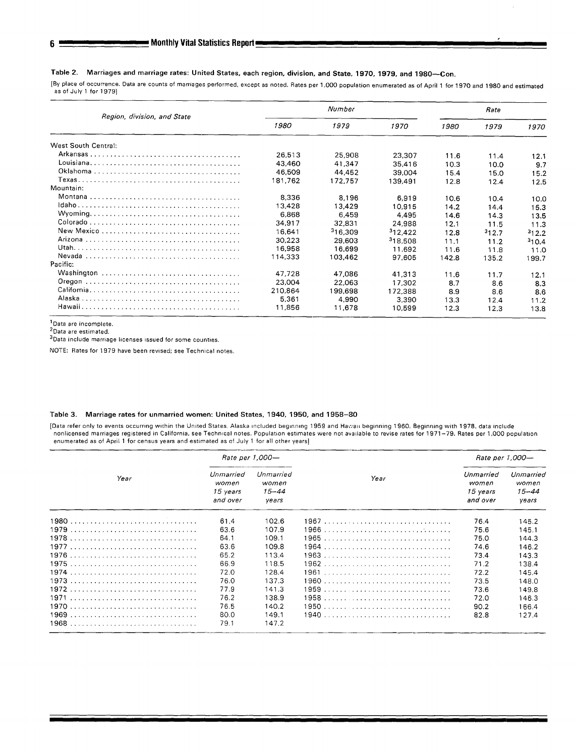## Table 2. Marriages and marriage rates: United States, each region, division, and State, 1970, 1979, and 1980—Con.

[By place of occurrence. Data are counts of marriages performed, except as noted. Rates per 1,000 population enumerated as of April 1 for 1970 and 1980 and estimated as of July 1 for 1979]

#

|                             |         | Number              | Rate                |       |       |       |
|-----------------------------|---------|---------------------|---------------------|-------|-------|-------|
| Region, division, and State | 1980    | 1979                | 1970                | 1980  | 1979  | 1970  |
| West South Central:         |         |                     |                     |       |       |       |
|                             | 26,513  | 25.908              | 23.307              | 11.6  | 11.4  | 12.1  |
|                             | 43,460  | 41.347              | 35,416              | 10.3  | 10.0  | 9.7   |
|                             | 46.509  | 44.452              | 39.004              | 15.4  | 15.0  | 15.2  |
|                             | 181.762 | 172.757             | 139.491             | 12.8  | 12.4  | 12.5  |
| Mountain:                   |         |                     |                     |       |       |       |
|                             | 8,336   | 8,196               | 6,919               | 10.6  | 10.4  | 10.0  |
|                             | 13.428  | 13,429              | 10.915              | 14.2  | 14.4  | 15.3  |
|                             | 6.868   | 6.459               | 4,495               | 14.6  | 14.3  | 13.5  |
|                             | 34.917  | 32.831              | 24.988              | 12.1  | 11.5  | 11.3  |
|                             | 16,641  | <sup>3</sup> 16.309 | 312,422             | 12.8  | 312.7 | 312.2 |
|                             | 30,223  | 29.603              | <sup>3</sup> 18.508 | 11.1  | 11.2  | 310.4 |
|                             | 16,958  | 16,699              | 11.692              | 11.6  | 11.8  | 11.0  |
|                             | 114,333 | 103,462             | 97,605              | 142.8 | 135.2 | 199.7 |
| Pacific:                    |         |                     |                     |       |       |       |
|                             | 47.728  | 47.086              | 41.313              | 11.6  | 11.7  | 12.1  |
|                             | 23,004  | 22,063              | 17.302              | 8.7   | 8.6   | 8.3   |
|                             | 210.864 | 199,698             | 172,388             | 8.9   | 8.6   | 8.6   |
|                             | 5.361   | 4.990               | 3.390               | 13.3  | 12.4  | 11.2  |
|                             | 11,856  | 11,678              | 10,599              | 12.3  | 12.3  | 13.8  |

'Data are incomple

 $\lceil$ Data are estimate

"Data include marriage licenses issued for some countie

NOTE: Rates for 1979 have been rewsed; see Techn(cal notes,

## Table 3. Marriage rates for unmarried women: United States, 1940, 1950, and 1958–30

[Data refer only to events occurring within the United States. Alaska included beginning 1959 and Hawaii beginning 1960. Beginning with 1978, data include nonlicensed marriages registered in California, see Technical notes. Population estimates were not available to revise rates for 1971-79. Rates per 1,000 population enumerated as of April 1 for census years and estimated as of July 1 for all other years]

|      |                                            | Rate per 1,000-                          |      | Rate per 1,000-                            |                                      |  |
|------|--------------------------------------------|------------------------------------------|------|--------------------------------------------|--------------------------------------|--|
| Year | Unmarried<br>women<br>15 vears<br>and over | Unmarried<br>women<br>$15 - 44$<br>vears | Year | Unmarried<br>women<br>15 years<br>and over | Unmarried<br>women<br>15–44<br>years |  |
|      | 61.4                                       | 102.6                                    |      | 76.4                                       | 145.2                                |  |
|      | 63.6                                       | 107.9                                    |      | 75.6                                       | 145.1                                |  |
|      | 64.1                                       | 109.1                                    |      | 75.0                                       | 144.3                                |  |
|      | 63.6                                       | 109.8                                    |      | 74.6                                       | 146.2                                |  |
|      | 65.2                                       | 113.4                                    |      | 73.4                                       | 143.3                                |  |
|      | 66.9                                       | 118.5                                    |      | 71.2                                       | 138.4                                |  |
|      | 72.0                                       | 128.4                                    |      | 72.2                                       | 145.4                                |  |
|      | 76.0                                       | 137.3                                    |      | 73.5                                       | 148.0                                |  |
|      | 77.9                                       | 141.3                                    |      | 73.6                                       | 149.8                                |  |
|      | 76.2                                       | 138.9                                    |      | 72.0                                       | 146.3                                |  |
|      | 76.5                                       | 140.2                                    |      | 90.2                                       | 166.4                                |  |
|      | 80.0                                       | 149.1                                    |      | 82.8                                       | 127.4                                |  |
|      | 79.1                                       | 147.2                                    |      |                                            |                                      |  |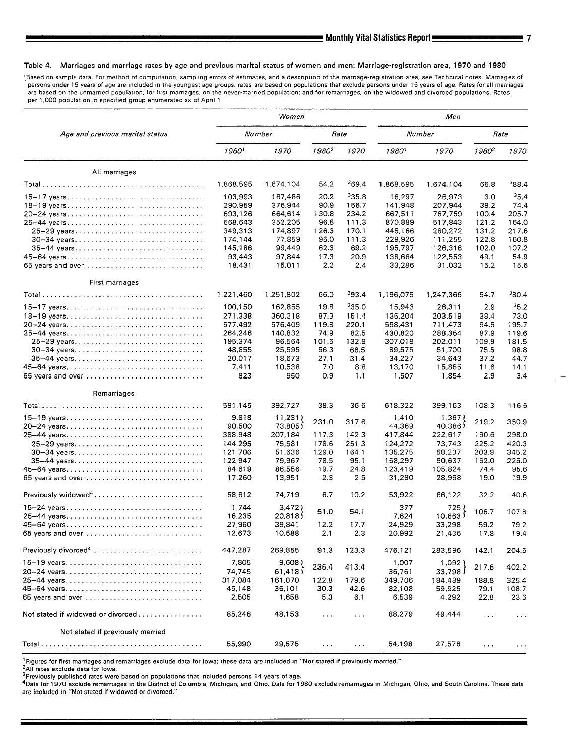#### **Table 4. Marriages and marriage rates by age and previous marital status of women and men: Marriage-registration area, 1970 and 1980**

[Based on sample data. For method of computation, sampling errors of estimates, and a description of the marriage-registration area, see Technical notes. Marriages of **persons under 15 years of age are included In the** youngest **age groups, rates are based on populations that exclude persons under 15 years of age. Rates for all marriages**  are based on the unmarried population; for first marriages, on the never-married population; and for remarriages, on the widowed and divorced populations. Rates per 1,000 population in specified group enumerated as of April 1]

|                                                                             |                    | Women              |                      |                      | Men                |                    |                               |                      |  |
|-----------------------------------------------------------------------------|--------------------|--------------------|----------------------|----------------------|--------------------|--------------------|-------------------------------|----------------------|--|
| Age and previous marital status                                             |                    | Number             |                      | Rate                 | Number             |                    |                               | Rate                 |  |
|                                                                             | 19801              | 1970               | 1980 <sup>2</sup>    | 1970                 | 19801              | 1970               | 1980 <sup>2</sup>             | 1970                 |  |
| All marriages                                                               |                    |                    |                      |                      |                    |                    |                               |                      |  |
|                                                                             | 1,868,595          | 1,674.104          | 54.2                 | 369.4                | 1,868,595          | 1,674,104          | 66.8                          | <sup>3</sup> 88.4    |  |
| 15–17 years                                                                 | 103,993            | 167,486            | 20.2                 | 335.8                | 16,297             | 26,973             | 3.0                           | 35.4                 |  |
| 18-19 years                                                                 | 290,959            | 376,944            | 90.9                 | 156.7                | 141.948            | 207,944            | 39.2                          | 74.4                 |  |
| 20-24 years                                                                 | 693,126            | 664.614            | 130.8                | 234.2                | 667,511            | 767.759            | 100.4                         | 205.7                |  |
| 25-44 years                                                                 | 668,643            | 352,205            | 96.5                 | 111.3                | 870,889            | 517,843            | 121.2                         | 164.0                |  |
| 25-29 years<br>30-34 years                                                  | 349,313<br>174,144 | 174,897<br>77.859  | 126.3<br>95.0        | 170.1<br>111.3       | 445,166<br>229,926 | 280,272<br>111,255 | 131.2<br>122.8                | 217.6<br>160.8       |  |
| 35-44 years                                                                 | 145,186            | 99,449             | 62.3                 | 69.2                 | 195,797            | 126,316            | 102.0                         | 107.2                |  |
| 45-64 years                                                                 | 93,443             | 97,844             | 17.3                 | 20.9                 | 138,664            | 122,553            | 49.1                          | 54.9                 |  |
| 65 years and over                                                           | 18,431             | 15,011             | 2.2                  | 2.4                  | 33,286             | 31,032             | 15.2                          | 15.6                 |  |
| First marriages                                                             |                    |                    |                      |                      |                    |                    |                               |                      |  |
|                                                                             | 1,221,460          | 1,251,802          | 66.0                 | 393.4                | 1,196,075          | 1,247,366          | 54.7                          | 380.4                |  |
| 15-17 years                                                                 | 100,150            | 162,855            | 19.8                 | 335.0                | 15,943             | 26,311             | 2.9                           | 35.2                 |  |
| 18-19 years                                                                 | 271,338            | 360,218            | 87.3                 | 151.4                | 136,204            | 203,519            | 38.4                          | 73.0                 |  |
| 20-24 years                                                                 | 577,492            | 576,409            | 119.8                | 220.1                | 598,431            | 711,473            | 94.5                          | 195.7                |  |
| 25-44 years                                                                 | 264,246            | 140,832            | 74.9                 | 82.5                 | 430,820            | 288,354            | 87.9                          | 119.6                |  |
| 25-29 years<br>30-34 years                                                  | 195,374<br>48,855  | 96,564<br>25.595   | 101.6<br>56.3        | 132.8<br>66.5        | 307,018<br>89,575  | 202,011<br>51,700  | 109.9<br>75.5                 | 181.5<br>98.8        |  |
| 35-44 years                                                                 | 20,017             | 18.673             | 27.1                 | 31.4                 | 34,227             | 34,643             | 37.2                          | 44.7                 |  |
|                                                                             | 7,411              | 10,538             | 7.0                  | 8.8                  | 13,170             | 15,855             | 11.6                          | 14.1                 |  |
| 65 years and over                                                           | 823                | 950                | 0.9                  | 1.1                  | 1,507              | 1,854              | 2.9                           | 3,4                  |  |
| Remarriages                                                                 |                    |                    |                      |                      |                    |                    |                               |                      |  |
|                                                                             | 591,145            | 392,727            | 38.3                 | 36.6                 | 618.322            | 399,163            | 108.3                         | 116.5                |  |
| $15-19$ years                                                               | 9,818              | 11,231             | 231.0                | 317.6                | 1,410              | 1.367              | 219.2                         | 350.9                |  |
| 20-24 years<br>25-44 years                                                  | 90,500<br>388,948  | 73,8051<br>207,184 | 117.3                | 142.3                | 44,369<br>417,844  | 40,386<br>222,617  | 190.6                         | 298.0                |  |
|                                                                             | 144,295            | 75,581             | 178.6                | 251.3                | 124,272            | 73,743             | 225.2                         | 420.3                |  |
| 30-34 years                                                                 | 121,706            | 51,636             | 129.0                | 164.1                | 135,275            | 58,237             | 203.9                         | 345.2                |  |
| 35-44 years                                                                 | 122,947            | 79,967             | 78.5                 | 95.1                 | 158,297            | 90,637             | 162.0                         | 225.0                |  |
|                                                                             | 84,619             | 86,556             | 19.7                 | 24.8                 | 123,419            | 105,824            | 74.4                          | 95.6                 |  |
| 65 years and over $\ldots \ldots \ldots \ldots \ldots \ldots \ldots \ldots$ | 17,260             | 13,951             | 2.3                  | 2.5                  | 31,280             | 28,968             | 19.0                          | 19.9                 |  |
|                                                                             | 58,612             | 74,719             | 6.7                  | 10.2                 | 53.922             | 66,122             | 32.2                          | 40.6                 |  |
| $15-24$ years                                                               | 1,744              | 3,472              | 51.0                 | 54.1                 | 377                | 725 1              | 106.7                         | 1078                 |  |
| 25-44 years                                                                 | 16,235             | 20.8181            |                      |                      | 7,624              | 10.663             |                               |                      |  |
| 45-64 years<br>65 years and over                                            | 27,960<br>12,673   | 39,841<br>10,588   | 12.2<br>2.1          | 17.7<br>2.3          | 24,929<br>20,992   | 33,298<br>21,436   | 59.2<br>17.8                  | 79.2<br>19.4         |  |
| Previously divorced <sup>4</sup>                                            | 447,287            | 269,855            | 91.3                 | 123.3                | 476,121            |                    | 142.1                         | 204.5                |  |
|                                                                             |                    |                    |                      |                      |                    | 283,596            |                               |                      |  |
| 15-19 years<br>20-24 years                                                  | 7,805<br>74,745    | 9,608<br>61,418    | 236.4                | 413.4                | 1,007<br>36,761    | ( 1,092<br>33,798  | 217.6                         | 402.2                |  |
| 25-44 years                                                                 | 317,084            | 161,070            | 122.8                | 179.6                | 349,706            | 184,489            | 188.8                         | 325.4                |  |
|                                                                             | 45,148             | 36,101             | 30.3                 | 42.6                 | 82,108             | 59,925             | 79.1                          | 108.7                |  |
| 65 years and over                                                           | 2,505              | 1,658              | 5.3                  | 6.1                  | 6,539              | 4,292              | 22.8                          | 23.6                 |  |
| Not stated if widowed or divorced                                           | 85,246             | 48,153             | $\cdots$             | $\sim$ $\sim$ $\sim$ | 88,279             | 49,444             | $\sim$ $\sim$ $\sim$          | $\sim$ $\sim$ $\sim$ |  |
| Not stated if previously married                                            |                    |                    |                      |                      |                    |                    |                               |                      |  |
|                                                                             | 55,990             | 29,575             | $\sim$ $\sim$ $\sim$ | $\cdots$             | 54.198             | 27,576             | $\epsilon \rightarrow \infty$ | $\sim$ $\sim$ $\sim$ |  |

**] Figures for first marriages and remarriages exclude data for Iowa; these data are included in "Not stated !f prewously married. "** 

**2AII rates exclude data for Iowa.** 

**3Previously published ratss were based on populations that Included persons 14 years of age.** 

**4Data for 1970 exclude remarriages in the District of Columbia, Mtchigan, and Ohio. Data for 1980 exclude remarriages m Mlchlgan, Ohio, and South Carolina. These data**  are included in "Not stated if widowed or divorced."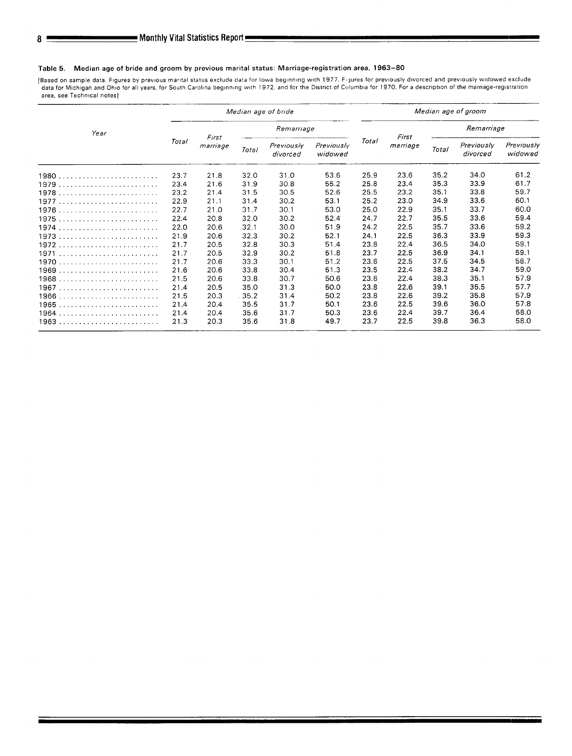#### **Table 5. Median age of bride and groom by previous marital status: Marriage-registration area, 1963–80**

**[Based on sample data. Figures by pre.lous marital status exclude data for lowa begin.lng with 1977. FJures for previously dworced and previously widowed exclude**  data for Michigan and Ohio for all years, for South Carolina beginning with 1972, and for the District of Columbia for 1970, For a description of the marnage-registrat area, see Technical notes]

|      | Median age of bride |                   |       |                        |                       | Median age of groom |                   |              |                               |                       |
|------|---------------------|-------------------|-------|------------------------|-----------------------|---------------------|-------------------|--------------|-------------------------------|-----------------------|
| Year | Total               | First<br>marriage |       | Remarriage             |                       |                     |                   | Remarriage   |                               |                       |
|      |                     |                   | Total | Previously<br>divorced | Previously<br>widowed | Total               | First<br>marriage | <b>Total</b> | <b>Previously</b><br>divorced | Previously<br>widowed |
| 1980 | 23.7                | 21.8              | 32.0  | 31.0                   | 53.6                  | 25.9                | 23.6              | 35.2         | 34.0                          | 61.2                  |
|      | 23.4                | 21.6              | 31.9  | 30.8                   | 55.2                  | 25.8                | 23.4              | 35.3         | 33.9                          | 61.7                  |
|      | 23.2                | 21.4              | 31.5  | 30.5                   | 52.6                  | 25.5                | 23.2              | 35.1         | 33.8                          | 59.7                  |
| 1977 | 22.9                | 21.1              | 31.4  | 30.2                   | 53.1                  | 25.2                | 23.0              | 34.9         | 33.6                          | 60.1                  |
|      | 22.7                | 21.0              | 31.7  | 30.1                   | 53.0                  | 25.0                | 22.9              | 35.1         | 33.7                          | 60.0                  |
| 1975 | 22.4                | 20.8              | 32.0  | 30.2                   | 52.4                  | 24.7                | 22.7              | 35.5         | 33.6                          | 59.4                  |
|      | 22.0                | 20.6              | 32.1  | 30.0                   | 51.9                  | 24.2                | 22.5              | 35.7         | 33.6                          | 59.2                  |
|      | 21.9                | 20.6              | 32.3  | 30.2                   | 52.1                  | 24.1                | 22.5              | 36.3         | 33.9                          | 59.3                  |
| 1972 | 21.7                | 20.5              | 32.8  | 30.3                   | 51.4                  | 23.8                | 22.4              | 36.5         | 34.0                          | 59.1                  |
| 1971 | 21.7                | 20.5              | 32.9  | 30.2                   | 51.8                  | 23.7                | 22.5              | 36.9         | 34.1                          | 59.1                  |
|      | 21.7                | 20.6              | 33.3  | 30.1                   | 51.2                  | 23.6                | 22.5              | 37.5         | 34.5                          | 58.7                  |
|      | 21.6                | 20.6              | 33.8  | 30.4                   | 51.3                  | 23.5                | 22.4              | 38.2         | 34.7                          | 59.0                  |
| 1968 | 21.5                | 20.6              | 33.8  | 30.7                   | 50.6                  | 23.6                | 22.4              | 38.3         | 35.1                          | 57.9                  |
| 1967 | 21.4                | 20.5              | 35.0  | 31.3                   | 50.0                  | 23.8                | 22.6              | 39.1         | 35.5                          | 57.7                  |
| 1966 | 21.5                | 20.3              | .35.2 | 31.4                   | 50.2                  | 23.8                | 22.6              | 39.2         | 35.8                          | 57.9                  |
| 1965 | 21.4                | 20.4              | 35.5  | 31.7                   | 50.1                  | 23.6                | 22.5              | 39.6         | 36.0                          | 57.8                  |
| 1964 | 21.4                | 20.4              | 35.6  | 31.7                   | 50.3                  | 23.6                | 22.4              | 39.7         | 36.4                          | 58.0                  |
|      | 21.3                | 20.3              | 35.6  | 31.8                   | 49.7                  | 23.7                | 22.5              | 39.8         | 36.3                          | 58.0                  |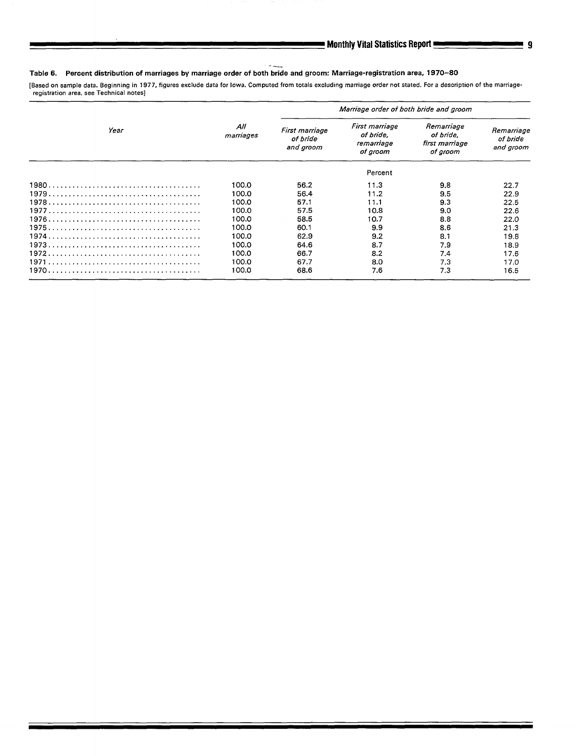#### --. Table 6. Percent distribution of marriages by marriage order of both bride and groom: Marriage-registration area. 1970-80 **[Based on sample data. Beginning in 1977, figures exclude data for lowa. Computed from totala excludlng marriage order not stated. For a description of the marriage-**

**registration area, see Technical notes]** 

|      |                  | Marriage order of both bride and groom  |                                                       |                                                       |                                     |  |  |  |
|------|------------------|-----------------------------------------|-------------------------------------------------------|-------------------------------------------------------|-------------------------------------|--|--|--|
| Year | All<br>marriages | First marriage<br>of bride<br>and groom | First marriage<br>of bride.<br>remarriage<br>of groom | Remarriage<br>of bride,<br>first marriage<br>of groom | Remarriage<br>of bride<br>and groom |  |  |  |
|      |                  |                                         | Percent                                               |                                                       |                                     |  |  |  |
|      | 100.0            | 56.2                                    | 11.3                                                  | 9.8                                                   | 22.7                                |  |  |  |
|      | 100.0            | 56.4                                    | 11.2                                                  | 9.5                                                   | 22.9                                |  |  |  |
|      | 100.0            | 57.1                                    | 11.1                                                  | 9.3                                                   | 22.5                                |  |  |  |
|      | 100.0            | 57.5                                    | 10.8                                                  | 9.0                                                   | 22.6                                |  |  |  |
|      | 100.0            | 58.5                                    | 10.7                                                  | 8.8                                                   | 22.0                                |  |  |  |
|      | 100.0            | 60.1                                    | 9.9                                                   | 8.6                                                   | 21.3                                |  |  |  |
|      | 100.0            | 62.9                                    | 9.2                                                   | 8.1                                                   | 19.8                                |  |  |  |
|      | 100.0            | 64.6                                    | 8.7                                                   | 7.9                                                   | 18.9                                |  |  |  |
|      | 100.0            | 66.7                                    | 8.2                                                   | 7.4                                                   | 17.6                                |  |  |  |
|      | 100.0            | 67.7                                    | 8.0                                                   | 7.3                                                   | 17.0                                |  |  |  |
|      | 100.0            | 68.6                                    | 7.6                                                   | 7.3                                                   | 16.5                                |  |  |  |

9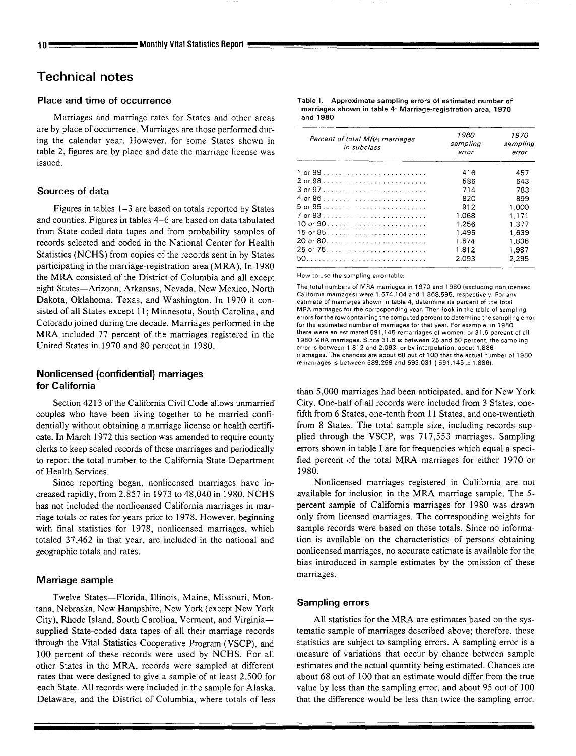## **Technical notes**

## **Place and time of occurrence**

Marriages and marriage rates for States and other areas are by place of occurrence. Marriages are those performed during the calendar year. However, for some States shown in table 2, figures are by place and date the marriage license was issued.

## **Sources of data**

Figures in tables 1–3 are based on totals reported by States and counties. Figures in tables 4–6 are based on data tabulated from State-coded data tapes and from probability samples of records selected and coded in the National Center for Health Statistics (NCHS) from copies of the records sent in by States participating in the marriage-registration area (MRA). In 1980 the MRA consisted of the District of Columbia and all except eight States—Arizona, Arkansas, Nevada, New Mexico, North Dakota, Oklahoma, Texas, and Washington. In 1970 it consisted of all States except 11; Minnesota, South Carolina, and Colorado joined during the decade. Marriages performed in the MRA included 77 percent of the marriages registered in the United States in 1970 and 80 percent in 1980.

## **Nonlicensed (confidential) marriages for California**

Section 4213 of the California Civil Code allows unmarried couples who have been living together to be married confidentially without obtaining a marriage license or health certificate. In March 1972 this section was amended to require county clerks to keep sealed records of these marriages and periodically to report the total number to the California State Department of Health Services.

Since reporting began, nonlicensed marriages have increased rapidly, from 2,857 in 1973 to 48,040 in 1980. NCHS has not included the nonlicensed California marriages in marriage totals or rates for years prior to 1978. However, beginning with final statistics for 1978, nonlicensed marriages, which totaled 37,462 in that year, are included in the national and geographic totals and rates.

## **Marriage sample**

Twelve States—Florida, Illinois, Maine, Missouri, Montana, Nebraska, New Hampshire, New York (except New York City), Rhode Island, South Carolina, Vermont, and Virginia supplied State-coded data tapes of all their marriage records through the Vital Statistics Cooperative Program (VSCP), and 100 percent of these records were used by NCHS. For all other States in the MRA, records were sampled at different rates that were designed to give a sample of at least 2,500 for each State. All records were included in the sample for Alaska, Delaware, and the District of Columbia, where totals of less

**Table 1. Approximate sampling errors of estimated number of marriages shown in table 4: Marriage-registration area, 1970 and 1980** 

| Percent of total MRA marriages<br>in subclass | 1980<br>sampling<br>error | 1970<br>sampling<br>error |
|-----------------------------------------------|---------------------------|---------------------------|
|                                               | 416                       | 457                       |
|                                               | 586                       | 643                       |
|                                               | 714                       | 783                       |
|                                               | 820                       | 899                       |
|                                               | 912                       | 1.000                     |
|                                               | 1,068                     | 1.171                     |
|                                               | 1.256                     | 1.377                     |
|                                               | 1.495                     | 1,639                     |
|                                               | 1.674                     | 1,836                     |
|                                               | 1,812                     | 1.987                     |
|                                               | 2.093                     | 2,295                     |

How to use the sampling error table:

The total numbers of MRA marriages in 1970 and 1980 (excluding nonlicensed **California marriages) were 1,674,104 and 1,868,595, respectively. Far any**  estimate of marriages shown in table 4, determine its percent of the total **MRA mamages for the corresponding year. Then look in the table of samphng**  errors for the row containing the computed percent to determine the sampling error for the estimated number of marriages for that year. For example, in 1980 there were an est mated 591,145 remarriages of women, or 31.6 percent of all **1980 MRA marriagea. Since 31.6 is between 25 and 50 percant, the sampling error IS between 1 812 and 2,093, or by interpolation, about 1,886 marriages. The chances are about 68 out of 100 that the actual number of 1980 remarriages ia bel.veen 589,259 and 593,031 ( 591,145 \* 1,886),** 

than 5,000 marriages had been anticipated, and for New York City. One-halt' of all records were included from 3 States, onefifth from 6 States, one-tenth from 11 States, and one-twentieth from 8 States. The total sample size, including records supplied through the VSCP, was 717,553 marriages. Sampling errors shown in table I are for frequencies which equal a specified percent of the total MRA marriages for either 1970 or 1980.

Nonlicensed marriages registered in California are not available for inclusion in the MRA marriage sample. The 5 percent sampie of California marriages for 1980 was drawn only from licensed marriages. The corresponding weights for sample records were based on these totals. Since no information is available on the characteristics of persons obtaining nonlicensed marriages, no accurate estimate is available for the bias introduced in sample estimates by the omission of these marriages.

## **Sampling errors**

All statistics for the MRA are estimates based on the systematic sample of marriages described above; therefore, these statistics are subject to sampling errors. A sampling error is a measure of variations that occur by chance between sample estimates and the actual quantity being estimated. Chances are about 68 out of 100 that an estimate would differ from the true value by less than the sampling error, and about 95 out of 100 that the difference would be less than twice the sampling error.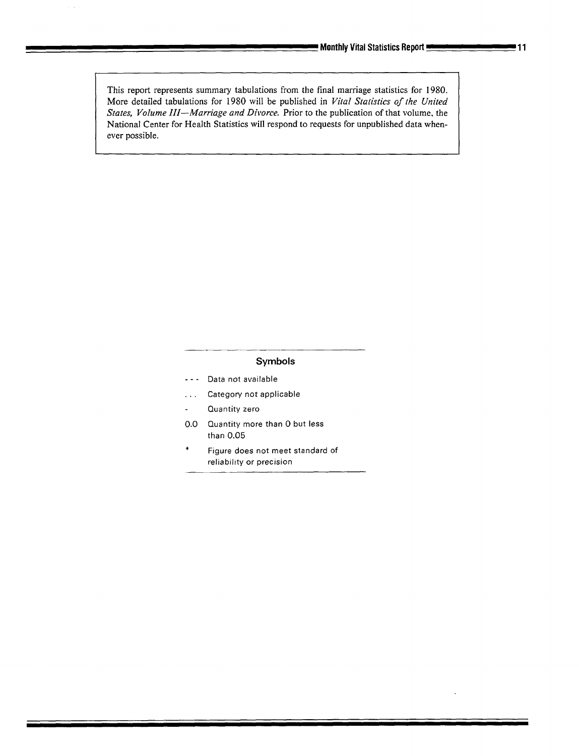This report represents summary tabulations from the final marriage statistics for 1980. More detailed tabulations for 1980 will be published in *Vital Statistics of lhe United States, Volume III—Marriage and Divorce.* Prior to the publication of that volume. the National Center for Health Statistics will respond to requests for unpublished data whenever **possible.** 

## **Symbols**

- . . . **Data not available**
- . . . **Category not applicable**
- **Quantity zero**   $\overline{\phantom{0}}$
- **0.0 Quantity more than O but less than 0.05**
- Figure does not meet standard of **reliability or precision**